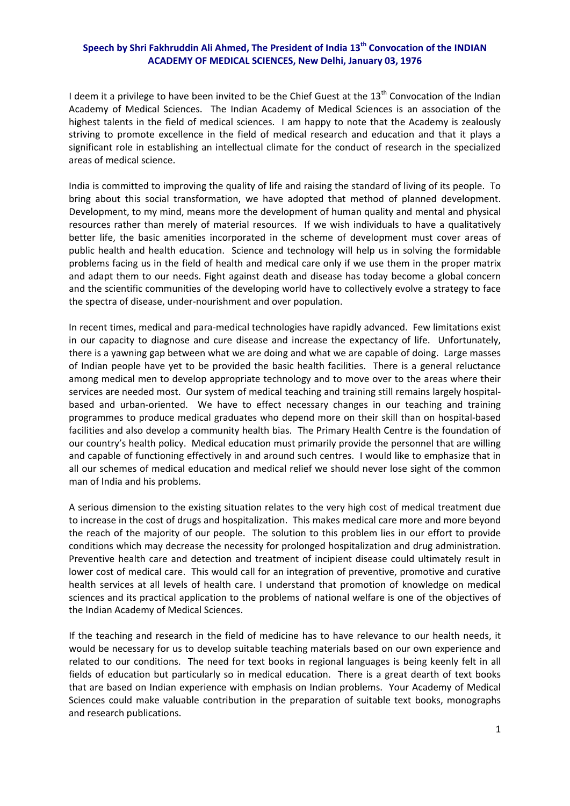## **Speech by Shri Fakhruddin Ali Ahmed, The President of India 13th Convocation of the INDIAN ACADEMY OF MEDICAL SCIENCES, New Delhi, January 03, 1976**

I deem it a privilege to have been invited to be the Chief Guest at the  $13<sup>th</sup>$  Convocation of the Indian Academy of Medical Sciences. The Indian Academy of Medical Sciences is an association of the highest talents in the field of medical sciences. I am happy to note that the Academy is zealously striving to promote excellence in the field of medical research and education and that it plays a significant role in establishing an intellectual climate for the conduct of research in the specialized areas of medical science.

India is committed to improving the quality of life and raising the standard of living of its people. To bring about this social transformation, we have adopted that method of planned development. Development, to my mind, means more the development of human quality and mental and physical resources rather than merely of material resources. If we wish individuals to have a qualitatively better life, the basic amenities incorporated in the scheme of development must cover areas of public health and health education. Science and technology will help us in solving the formidable problems facing us in the field of health and medical care only if we use them in the proper matrix and adapt them to our needs. Fight against death and disease has today become a global concern and the scientific communities of the developing world have to collectively evolve a strategy to face the spectra of disease, under‐nourishment and over population.

In recent times, medical and para-medical technologies have rapidly advanced. Few limitations exist in our capacity to diagnose and cure disease and increase the expectancy of life. Unfortunately, there is a yawning gap between what we are doing and what we are capable of doing. Large masses of Indian people have yet to be provided the basic health facilities. There is a general reluctance among medical men to develop appropriate technology and to move over to the areas where their services are needed most. Our system of medical teaching and training still remains largely hospitalbased and urban-oriented. We have to effect necessary changes in our teaching and training programmes to produce medical graduates who depend more on their skill than on hospital‐based facilities and also develop a community health bias. The Primary Health Centre is the foundation of our country's health policy. Medical education must primarily provide the personnel that are willing and capable of functioning effectively in and around such centres. I would like to emphasize that in all our schemes of medical education and medical relief we should never lose sight of the common man of India and his problems.

A serious dimension to the existing situation relates to the very high cost of medical treatment due to increase in the cost of drugs and hospitalization. This makes medical care more and more beyond the reach of the majority of our people. The solution to this problem lies in our effort to provide conditions which may decrease the necessity for prolonged hospitalization and drug administration. Preventive health care and detection and treatment of incipient disease could ultimately result in lower cost of medical care. This would call for an integration of preventive, promotive and curative health services at all levels of health care. I understand that promotion of knowledge on medical sciences and its practical application to the problems of national welfare is one of the objectives of the Indian Academy of Medical Sciences.

If the teaching and research in the field of medicine has to have relevance to our health needs, it would be necessary for us to develop suitable teaching materials based on our own experience and related to our conditions. The need for text books in regional languages is being keenly felt in all fields of education but particularly so in medical education. There is a great dearth of text books that are based on Indian experience with emphasis on Indian problems. Your Academy of Medical Sciences could make valuable contribution in the preparation of suitable text books, monographs and research publications.